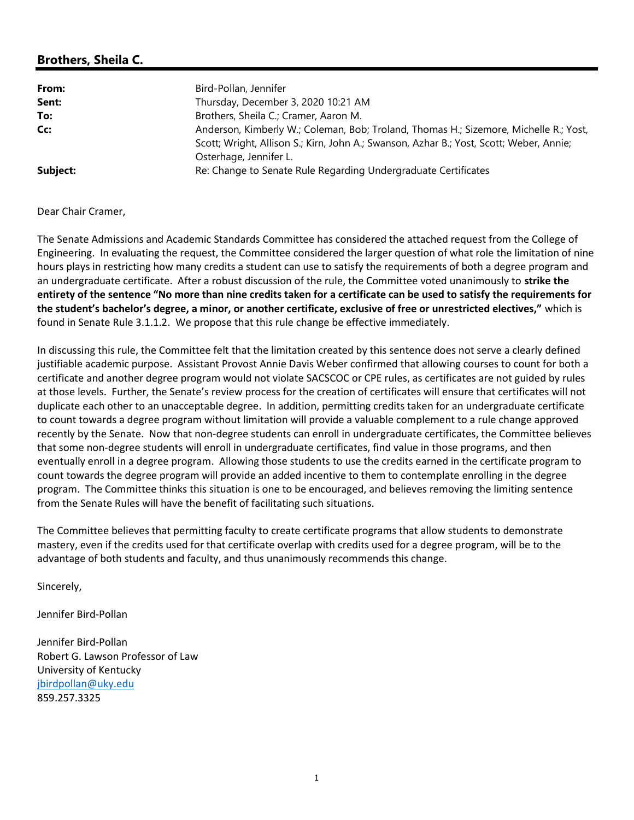## Brothers, Sheila C.

| From:    | Bird-Pollan, Jennifer                                                                                                                                                            |
|----------|----------------------------------------------------------------------------------------------------------------------------------------------------------------------------------|
| Sent:    | Thursday, December 3, 2020 10:21 AM                                                                                                                                              |
| To:      | Brothers, Sheila C.; Cramer, Aaron M.                                                                                                                                            |
| Cc:      | Anderson, Kimberly W.; Coleman, Bob; Troland, Thomas H.; Sizemore, Michelle R.; Yost,<br>Scott; Wright, Allison S.; Kirn, John A.; Swanson, Azhar B.; Yost, Scott; Weber, Annie; |
|          | Osterhage, Jennifer L.                                                                                                                                                           |
| Subject: | Re: Change to Senate Rule Regarding Undergraduate Certificates                                                                                                                   |

## Dear Chair Cramer,

The Senate Admissions and Academic Standards Committee has considered the attached request from the College of Engineering. In evaluating the request, the Committee considered the larger question of what role the limitation of nine hours plays in restricting how many credits a student can use to satisfy the requirements of both a degree program and an undergraduate certificate. After a robust discussion of the rule, the Committee voted unanimously to strike the entirety of the sentence "No more than nine credits taken for a certificate can be used to satisfy the requirements for the student's bachelor's degree, a minor, or another certificate, exclusive of free or unrestricted electives," which is found in Senate Rule 3.1.1.2. We propose that this rule change be effective immediately.

In discussing this rule, the Committee felt that the limitation created by this sentence does not serve a clearly defined justifiable academic purpose. Assistant Provost Annie Davis Weber confirmed that allowing courses to count for both a certificate and another degree program would not violate SACSCOC or CPE rules, as certificates are not guided by rules at those levels. Further, the Senate's review process for the creation of certificates will ensure that certificates will not duplicate each other to an unacceptable degree. In addition, permitting credits taken for an undergraduate certificate to count towards a degree program without limitation will provide a valuable complement to a rule change approved recently by the Senate. Now that non-degree students can enroll in undergraduate certificates, the Committee believes that some non-degree students will enroll in undergraduate certificates, find value in those programs, and then eventually enroll in a degree program. Allowing those students to use the credits earned in the certificate program to count towards the degree program will provide an added incentive to them to contemplate enrolling in the degree program. The Committee thinks this situation is one to be encouraged, and believes removing the limiting sentence from the Senate Rules will have the benefit of facilitating such situations.

The Committee believes that permitting faculty to create certificate programs that allow students to demonstrate mastery, even if the credits used for that certificate overlap with credits used for a degree program, will be to the advantage of both students and faculty, and thus unanimously recommends this change.

Sincerely,

Jennifer Bird-Pollan

Jennifer Bird-Pollan Robert G. Lawson Professor of Law University of Kentucky jbirdpollan@uky.edu 859.257.3325